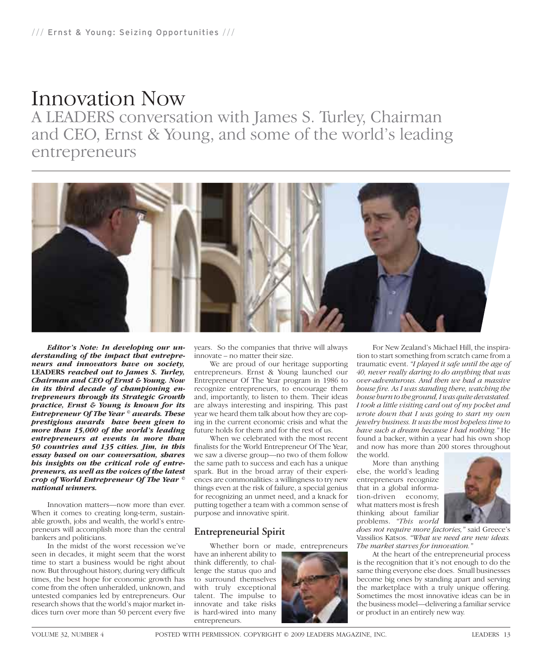# Innovation Now

A LEADERS conversation with James S. Turley, Chairman and CEO, Ernst & Young, and some of the world's leading entrepreneurs



*Editor's Note: In developing our understanding of the impact that entrepreneurs and innovators have on society,*  **LEADERS** *reached out to James S. Turley, Chairman and CEO of Ernst & Young. Now in its third decade of championing entrepreneurs through its Strategic Growth practice, Ernst & Young is known for its Entrepreneur Of The Year © awards. These prestigious awards have been given to more than 15,000 of the world's leading entrepreneurs at events in more than 50 countries and 135 cities. Jim, in this essay based on our conversation, shares his insights on the critical role of entrepreneurs, as well as the voices of the latest crop of World Entrepreneur Of The Year © national winners.*

Innovation matters—now more than ever. When it comes to creating long-term, sustainable growth, jobs and wealth, the world's entrepreneurs will accomplish more than the central bankers and politicians.

In the midst of the worst recession we've seen in decades, it might seem that the worst time to start a business would be right about now. But throughout history, during very difficult times, the best hope for economic growth has come from the often unheralded, unknown, and untested companies led by entrepreneurs. Our research shows that the world's major market indices turn over more than 50 percent every five years. So the companies that thrive will always innovate – no matter their size.

We are proud of our heritage supporting entrepreneurs. Ernst & Young launched our Entrepreneur Of The Year program in 1986 to recognize entrepreneurs, to encourage them and, importantly, to listen to them. Their ideas are always interesting and inspiring. This past year we heard them talk about how they are coping in the current economic crisis and what the future holds for them and for the rest of us.

When we celebrated with the most recent finalists for the World Entrepreneur Of The Year, we saw a diverse group—no two of them follow the same path to success and each has a unique spark. But in the broad array of their experiences are commonalities: a willingness to try new things even at the risk of failure, a special genius for recognizing an unmet need, and a knack for putting together a team with a common sense of purpose and innovative spirit.

## **Entrepreneurial Spirit**

Whether born or made, entrepreneurs

have an inherent ability to think differently, to challenge the status quo and to surround themselves with truly exceptional talent. The impulse to innovate and take risks is hard-wired into many entrepreneurs.



For New Zealand's Michael Hill, the inspiration to start something from scratch came from a traumatic event. *"I played it safe until the age of 40, never really daring to do anything that was over-adventurous. And then we had a massive house fi re. As I was standing there, watching the house burn to the ground, I was quite devastated. I took a little visiting card out of my pocket and wrote down that I was going to start my own jewelry business. It was the most hopeless time to have such a dream because I had nothing."* He found a backer, within a year had his own shop and now has more than 200 stores throughout the world.

More than anything else, the world's leading entrepreneurs recognize that in a global information-driven economy, what matters most is fresh thinking about familiar problems. *"This world* 



*does not require more factories,"* said Greece's Vassilios Katsos. *"What we need are new ideas. The market starves for innovation."*

At the heart of the entrepreneurial process is the recognition that it's not enough to do the same thing everyone else does. Small businesses become big ones by standing apart and serving the marketplace with a truly unique offering. Sometimes the most innovative ideas can be in the business model—delivering a familiar service or product in an entirely new way.